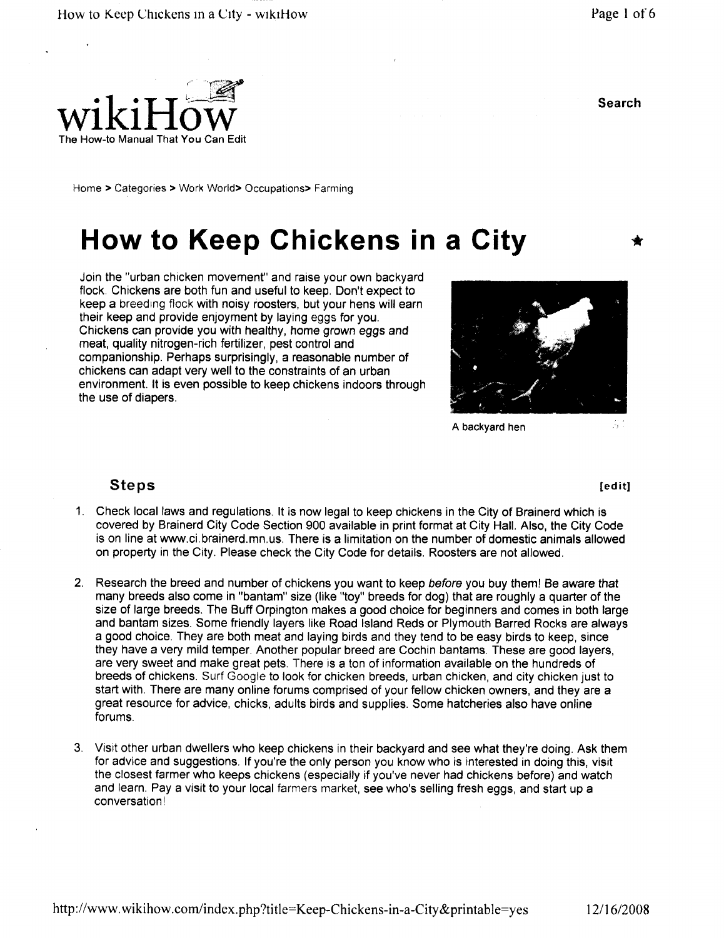Search



Home > Categories > Work World > Occupations > Farming

# How to Keep Chickens in a City

Join the "urban chicken movement" and raise your own backyard flock. Chickens are both fun and useful to keep. Don't expect to keep a breeding flock with noisy roosters but your hens will earn their keep and provide enjoyment by laying eggs for you Chickens can provide you with healthy home grown eggs and meat, quality nitrogen-rich fertilizer, pest control and companionship. Perhaps surprisingly, a reasonable number of chickens can adapt very well to the constraints of an urban environment. It is even possible to keep chickens indoors through the use of diapers.



A backyard hen

#### Steps

- 1. Check local laws and regulations. It is now legal to keep chickens in the City of Brainerd which is covered by Brainerd City Code Section 900 available in print format at City Hall. Also, the City Code is on line at www.ci.brainerd.mn.us. There is a limitation on the number of domestic animals allowed on property in the City. Please check the City Code for details. Roosters are not allowed.
- 2. Research the breed and number of chickens you want to keep before you buy them! Be aware that many breeds also come in "bantam" size (like "toy" breeds for dog) that are roughly a quarter of the size of large breeds. The Buff Orpington makes a good choice for beginners and comes in both large and bantam sizes Some friendly layers like Road Island Reds or Plymouth Barred Rocks are always a good choice. They are both meat and laying birds and they tend to be easy birds to keep, since they have a very mild temper Another popular breed are Cochin bantams These are good layers are very sweet and make great pets. There is a ton of information available on the hundreds of breeds of chickens. Surf Google to look for chicken breeds, urban chicken, and city chicken just to start with. There are many online forums comprised of your fellow chicken owners, and they are a great resource for advice, chicks, adults birds and supplies. Some hatcheries also have online forums
- <sup>3</sup> Visit other urban dwellers who keep chickens in their backyard and see what they re doing Ask them for advice and suggestions. If you're the only person you know who is interested in doing this, visit the closest farmer who keeps chickens (especially if you've never had chickens before) and watch and learn. Pay a visit to your local farmers market, see who's selling fresh eggs, and start up a conversation

edit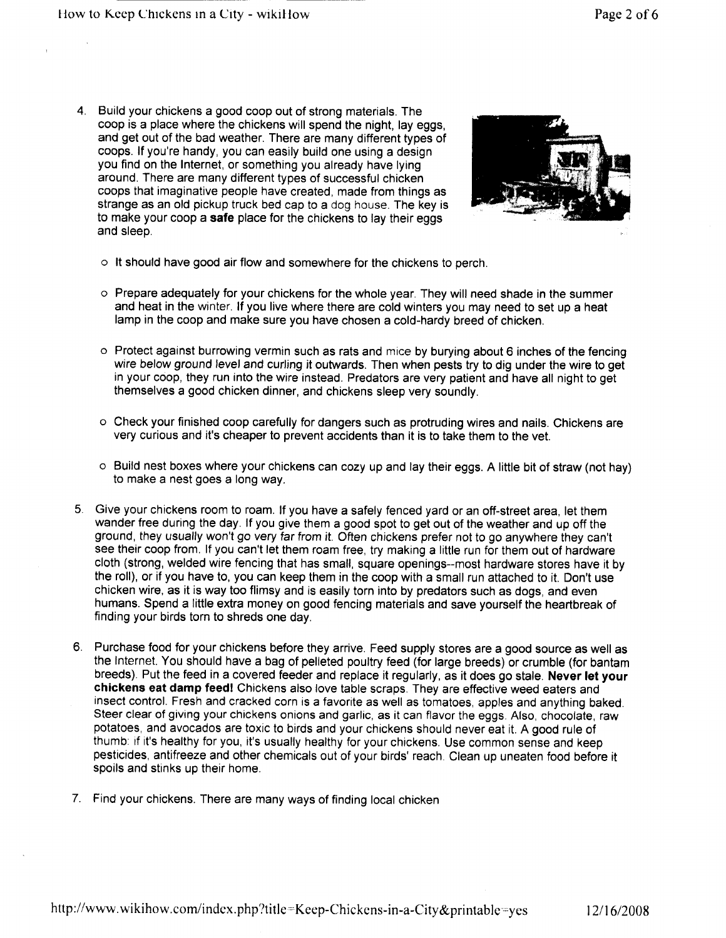4. Build your chickens a good coop out of strong materials. The coop is a place where the chickens will spend the night, lay eggs, and get out of the bad weather. There are many different types of coops. If you're handy, you can easily build one using a design you find on the Internet, or something you already have lying around. There are many different types of successful chicken coops that imaginative people have created, made from things as strange as an old pickup truck bed cap to a dog house The key is to make your coop a safe place for the chickens to lay their eggs and sleep



- o It should have good air flow and somewhere for the chickens to perch
- $\circ$  Prepare adequately for your chickens for the whole year. They will need shade in the summer and heat in the winter. If you live where there are cold winters you may need to set up a heat lamp in the coop and make sure you have chosen a cold-hardy breed of chicken.
- o Protect against burrowing vermin such as rats and mice by burying about 6 inches of the fencing wire below ground level and curling it outwards. Then when pests try to dig under the wire to get in your coop, they run into the wire instead. Predators are very patient and have all night to get themselves a good chicken dinner, and chickens sleep very soundly.
- o Check your finished coop carefully for dangers such as protruding wires and nails Chickens are very curious and it's cheaper to prevent accidents than it is to take them to the vet.
- $\circ$  Build nest boxes where your chickens can cozy up and lay their eggs. A little bit of straw (not hay) to make a nest goes a long way
- 5. Give your chickens room to roam. If you have a safely fenced yard or an off-street area, let them wander free during the day If you give them a good spot to get out of the weather and up off the ground, they usually won't go very far from it. Often chickens prefer not to go anywhere they can't see their coop from. If you can't let them roam free, try making a little run for them out of hardware cloth (strong, welded wire fencing that has small, square openings--most hardware stores have it by the roll), or if you have to, you can keep them in the coop with a small run attached to it. Don't use chicken wire, as it is way too flimsy and is easily torn into by predators such as dogs, and even humans. Spend a little extra money on good fencing materials and save yourself the heartbreak of finding your birds torn to shreds one day
- 6. Purchase food for your chickens before they arrive. Feed supply stores are a good source as well as the Internet. You should have a bag of pelleted poultry feed (for large breeds) or crumble (for bantam breeds). Put the feed in a covered feeder and replace it regularly, as it does go stale. Never let your chickens eat damp feed! Chickens also love table scraps. They are effective weed eaters and insect control. Fresh and cracked corn is a favorite as well as tomatoes, apples and anything baked. Steer clear of giving your chickens onions and garlic, as it can flavor the eggs. Also, chocolate, raw potatoes, and avocados are toxic to birds and your chickens should never eat it. A good rule of thumb: if it's healthy for you, it's usually healthy for your chickens. Use common sense and keep pesticides, antifreeze and other chemicals out of your birds' reach. Clean up uneaten food before it spoils and stinks up their home
- 7. Find your chickens. There are many ways of finding local chicken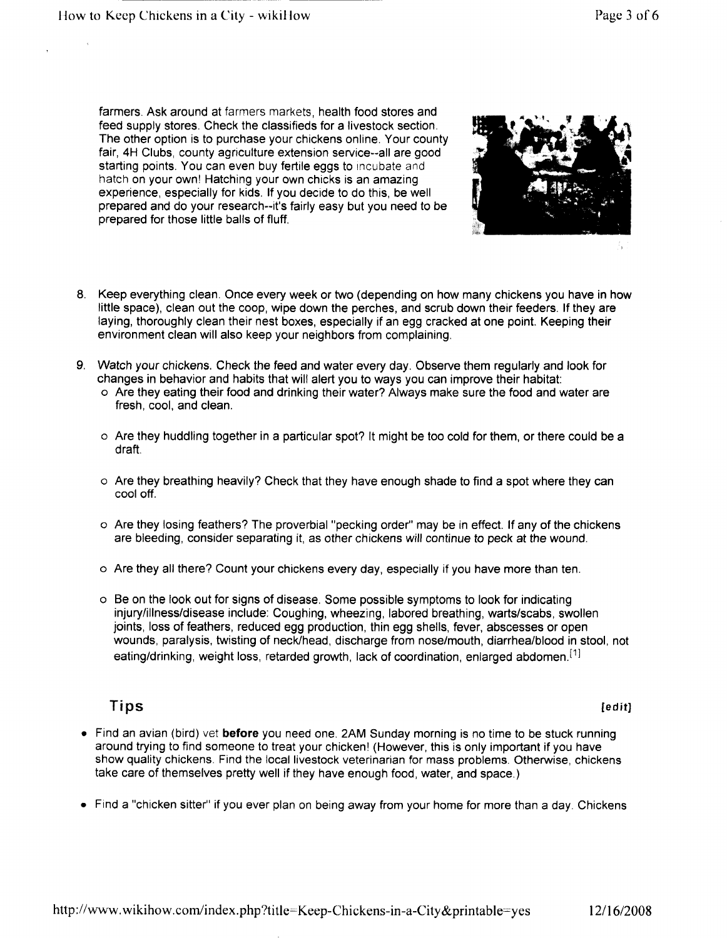farmers. Ask around at farmers markets, health food stores and feed supply stores. Check the classifieds for a livestock section. The other option is to purchase your chickens online Your county fair, 4H Clubs, county agriculture extension service--all are good starting points. You can even buy fertile eggs to incubate and hatch on your own! Hatching your own chicks is an amazing experience, especially for kids. If you decide to do this, be well prepared and do your research--it's fairly easy but you need to be prepared for those little balls of fluff



- 8. Keep everything clean. Once every week or two (depending on how many chickens you have in how little space), clean out the coop, wipe down the perches, and scrub down their feeders. If they are laying, thoroughly clean their nest boxes, especially if an egg cracked at one point. Keeping their environment clean will also keep your neighbors from complaining
- 9. Watch your chickens. Check the feed and water every day. Observe them regularly and look for changes in behavior and habits that will alert you to ways you can improve their habitat
	- o Are they eating their food and drinking their water Always make sure the food and water are fresh, cool, and clean.
	- o Are they huddling together in a particular spot? It might be too cold for them, or there could be a draft
	- o Are they breathing heavily? Check that they have enough shade to find a spot where they car cool off
	- $\circ$  Are they losing feathers? The proverbial "pecking order" may be in effect. If any of the chickens are bleeding, consider separating it, as other chickens will continue to peck at the wound.
	- $\circ$  Are they all there? Count your chickens every day, especially if you have more than ten.
	- o Be on the look out for signs of disease Some possible symptoms to look for indicating injury/illness/disease include: Coughing, wheezing, labored breathing, warts/scabs, swollen joints, loss of feathers, reduced egg production, thin egg shells, fever, abscesses or open wounds, paralysis, twisting of neck/head, discharge from nose/mouth, diarrhea/blood in stool, not eating/drinking, weight loss, retarded growth, lack of coordination, enlarged abdomen.<sup>[1]</sup>

### Tips **Example 2** and the contract of the contract of the contract of the contract of the contract of the contract of the contract of the contract of the contract of the contract of the contract of the contract of the contr

- Find an avian (bird) vet before you need one. 2AM Sunday morning is no time to be stuck running around trying to find someone to treat your chicken! (However, this is only important if you have show quality chickens. Find the local livestock veterinarian for mass problems. Otherwise, chickens take care of themselves pretty well if they have enough food, water, and space.)
- Find a "chicken sitter" if you ever plan on being away from your home for more than a day. Chickens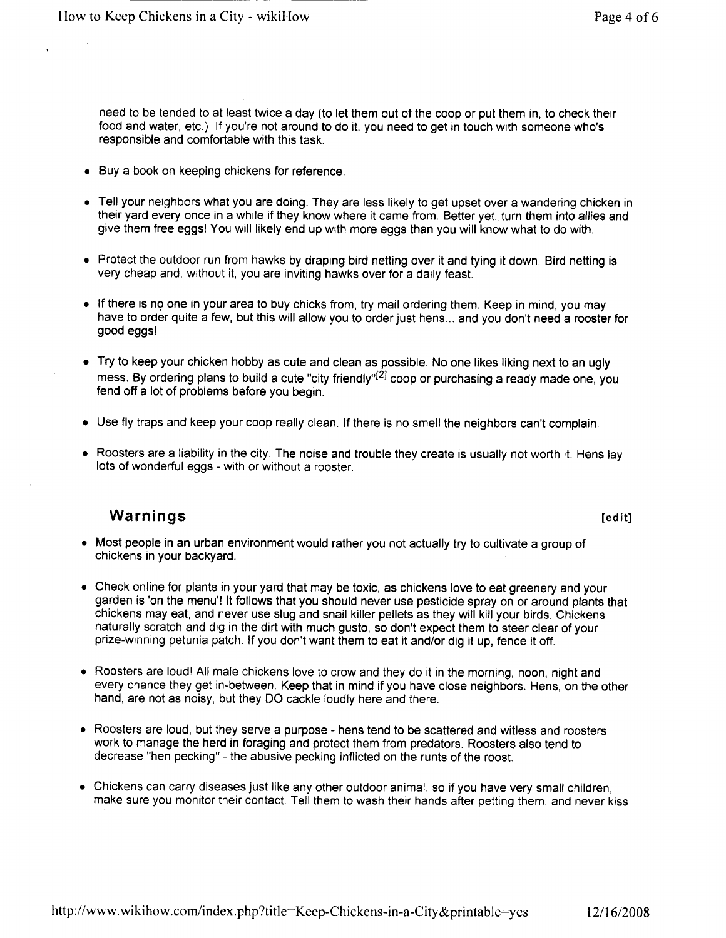need to be tended to at least twice a day (to let them out of the coop or put them in, to check their food and water, etc.). If you're not around to do it, you need to get in touch with someone who's responsible and comfortable with this task

- Buy a book on keeping chickens for reference.
- Tell your neighbors what you are doing. They are less likely to get upset over a wandering chicken in their yard every once in a while if they know where it came from. Better yet, turn them into allies and give them free eggs! You will likely end up with more eggs than you will know what to do with.
- Protect the outdoor run from hawks by draping bird netting over it and tying it down. Bird netting is very cheap and, without it, you are inviting hawks over for a daily feast.
- If there is no one in your area to buy chicks from, try mail ordering them. Keep in mind, you may have to order quite a few, but this will allow you to order just hens ... and you don't need a rooster for good eggs
- Try to keep your chicken hobby as cute and clean as possible. No one likes liking next to an ugly mess. By ordering plans to build a cute "city friendly"<sup>[2]</sup> coop or purchasing a ready made one, you fend off a lot of problems before you begin
- Use fly traps and keep your coop really clean. If there is no smell the neighbors can't complain.
- Roosters are a liability in the city. The noise and trouble they create is usually not worth it. Hens lay lots of wonderful eggs - with or without a rooster.

#### Warnings **in the contract of the contract of the contract of the contract of the contract of the contract of the contract of the contract of the contract of the contract of the contract of the contract of the contract of t**

- Most people in an urban environment would rather you not actually try to cultivate a group of chickens in your backyard
- Check online for plants in your yard that may be toxic as chickens love to eat greenery and your garden is 'on the menu'! It follows that you should never use pesticide spray on or around plants that chickens may eat, and never use slug and snail killer pellets as they will kill your birds. Chickens naturally scratch and dig in the dirt with much gusto, so don't expect them to steer clear of your prize-winning petunia patch. If you don't want them to eat it and/or dig it up, fence it off.
- Roosters are loud! All male chickens love to crow and they do it in the morning, noon, night and every chance they get in-between. Keep that in mind if you have close neighbors. Hens, on the other hand, are not as noisy, but they DO cackle loudly here and there.
- Roosters are loud, but they serve a purpose hens tend to be scattered and witless and roosters work to manage the herd in foraging and protect them from predators. Roosters also tend to decrease "hen pecking" - the abusive pecking inflicted on the runts of the roost.
- Chickens can carry diseases just like any other outdoor animal, so if you have very small children, make sure you monitor their contact. Tell them to wash their hands after petting them, and never kiss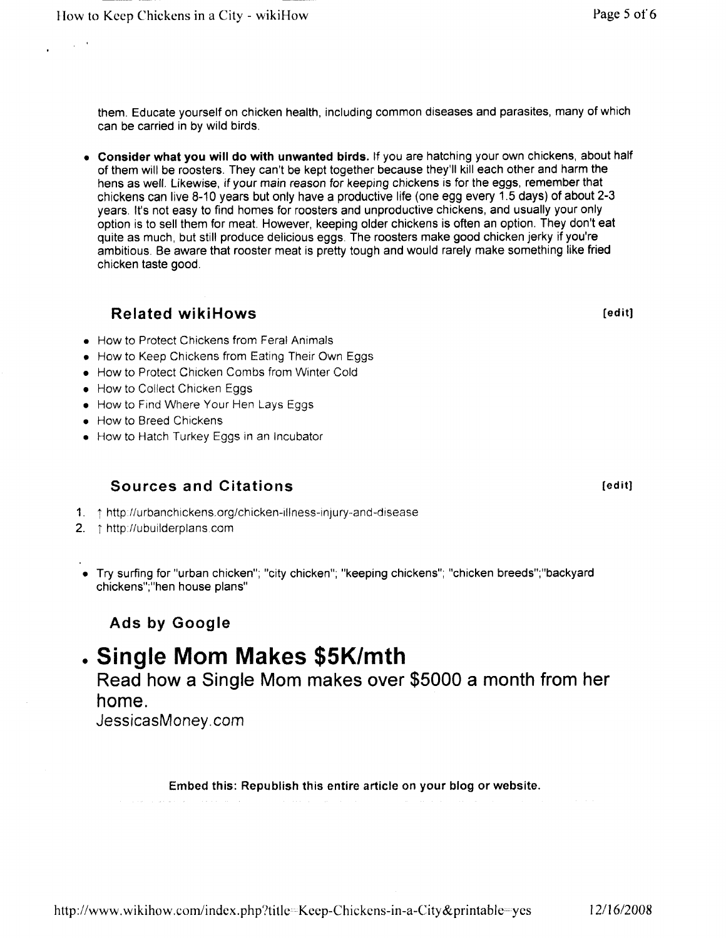them. Educate yourself on chicken health, including common diseases and parasites, many of which can be carried in by wild birds

• Consider what you will do with unwanted birds. If you are hatching your own chickens, about half of them will be roosters. They can't be kept together because they'll kill each other and harm the hens as well. Likewise, if your main reason for keeping chickens is for the eggs, remember that chickens can live 8-10 years but only have a productive life (one egg every  $\overline{1}$  5 days) of about 2-3 years. It's not easy to find homes for roosters and unproductive chickens, and usually your only option is to sell them for meat. However, keeping older chickens is often an option. They don't eat quite as much, but still produce delicious eggs. The roosters make good chicken jerky if you're ambitious Be aware that rooster meat is pretty tough and would rarely make something like fried chicken taste good

#### Related wikiHows entitled and the settlement of the settlement of the settlement of the settlement of the settlement of the settlement of the settlement of the settlement of the settlement of the settlement of the settleme

- How to Protect Chickens from Feral Animals
- How to Keep Chickens from Eating Their Own Eggs
- How to Protect Chicken Combs from Winter Cold
- How to Collect Chicken Eggs
- How to Find Where Your Hen Lays Eggs
- How to Breed Chickens
- How to Hatch Turkey Eggs in an Incubator

#### Sources and Citations educations and its service of the service of the service of the service of the service of the service of the service of the service of the service of the service of the service of the service of the s

- 1. thttp://urbanchickens.org/chicken-illness-injury-and-disease
- 2.  $\uparrow$  http://ubuilderplans.com
- Try surfing for "urban chicken"; "city chicken"; "keeping chickens"; "chicken breeds"; "backyard chickens";"hen house plans"

### Ads by Google

## . Single Mom Makes \$5K/mth

Read how a Single Mom makes over 5000 a month from her home

JessicasMoney com

Embed this: Republish this entire article on your blog or website.